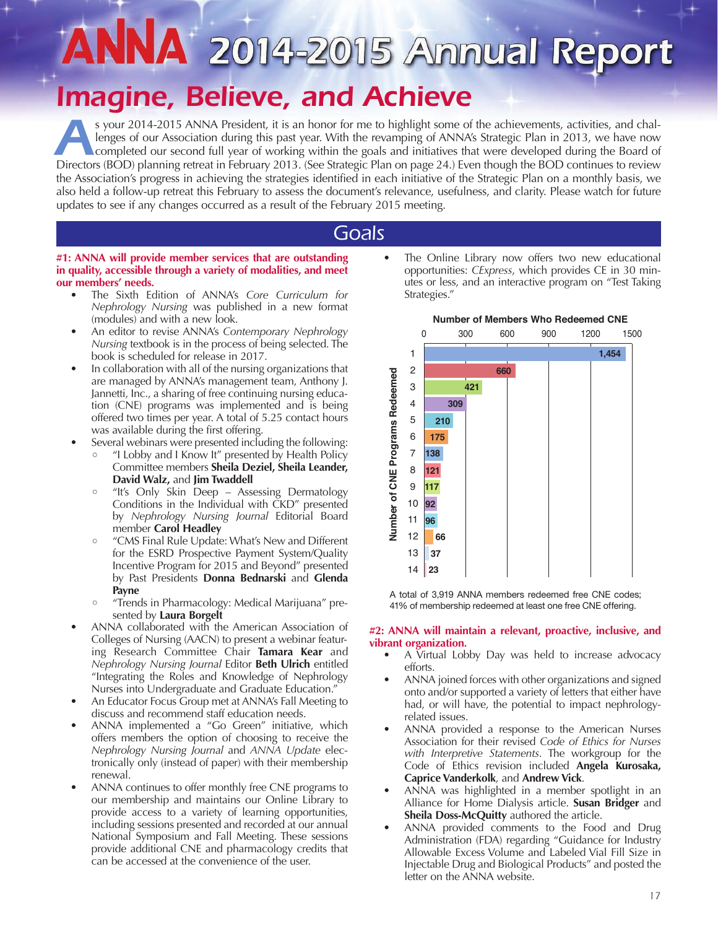# *Imagine, Believe, and Achieve*

*A*s your 2014-2015 ANNA President, it is an honor for me to highlight some of the achievements, activities, and challenges of our Association during this past year. With the revamping of ANNA's Strategic Plan in 2013, we have now completed our second full year of working within the goals and initiatives that were developed during the Board of Directors (BOD) planning retreat in February 2013. (See Strategic Plan on page 24.) Even though the BOD continues to review the Association's progress in achieving the strategies identified in each initiative of the Strategic Plan on a monthly basis, we also held a follow-up retreat this February to assess the document's relevance, usefulness, and clarity. Please watch for future updates to see if any changes occurred as a result of the February 2015 meeting.

## *Goals*

#### **#1: ANNA will provide member services that are outstanding in quality, accessible through a variety of modalities, and meet our members' needs.**

- The Sixth Edition of ANNA's *Core Curriculum for Nephrology Nursing* was published in a new format (modules) and with a new look.
- An editor to revise ANNA's *Contemporary Nephrology Nursing* textbook is in the process of being selected. The book is scheduled for release in 2017.
- In collaboration with all of the nursing organizations that are managed by ANNA's management team, Anthony J. Jannetti, Inc., a sharing of free continuing nursing education (CNE) programs was implemented and is being offered two times per year. A total of 5.25 contact hours was available during the first offering.
- Several webinars were presented including the following:
	- "I Lobby and I Know It" presented by Health Policy Committee members **Sheila Deziel, Sheila Leander, David Walz,** and **Jim Twaddell**
	- "It's Only Skin Deep Assessing Dermatology Conditions in the Individual with CKD" presented by *Nephrology Nursing Journal* Editorial Board member **Carol Headley**
	- "CMS Final Rule Update: What's New and Different for the ESRD Prospective Payment System/Quality Incentive Program for 2015 and Beyond" presented by Past Presidents **Donna Bednarski** and **Glenda Payne**
	- "Trends in Pharmacology: Medical Marijuana" presented by **Laura Borgelt**
- ANNA collaborated with the American Association of Colleges of Nursing (AACN) to present a webinar featuring Research Committee Chair **Tamara Kear** and *Nephrology Nursing Journal* Editor **Beth Ulrich** entitled "Integrating the Roles and Knowledge of Nephrology Nurses into Undergraduate and Graduate Education."
- An Educator Focus Group met at ANNA's Fall Meeting to discuss and recommend staff education needs.
- ANNA implemented a "Go Green" initiative, which offers members the option of choosing to receive the *Nephrology Nursing Journal* and *ANNA Update* electronically only (instead of paper) with their membership renewal.
- ANNA continues to offer monthly free CNE programs to our membership and maintains our Online Library to provide access to a variety of learning opportunities, including sessions presented and recorded at our annual National Symposium and Fall Meeting. These sessions provide additional CNE and pharmacology credits that can be accessed at the convenience of the user.





A total of 3,919 ANNA members redeemed free CNE codes; 41% of membership redeemed at least one free CNE offering.

#### **#2: ANNA will maintain a relevant, proactive, inclusive, and vibrant organization.**

- A Virtual Lobby Day was held to increase advocacy efforts.
- ANNA joined forces with other organizations and signed onto and/or supported a variety of letters that either have had, or will have, the potential to impact nephrologyrelated issues.
- ANNA provided a response to the American Nurses Association for their revised *Code of Ethics for Nurses with Interpretive Statements*. The workgroup for the Code of Ethics revision included **Angela Kurosaka, Caprice Vanderkolk**, and **Andrew Vick**.
- ANNA was highlighted in a member spotlight in an Alliance for Home Dialysis article. **Susan Bridger** and **Sheila Doss-McQuitty** authored the article.
- ANNA provided comments to the Food and Drug Administration (FDA) regarding "Guidance for Industry Allowable Excess Volume and Labeled Vial Fill Size in Injectable Drug and Biological Products" and posted the letter on the ANNA website.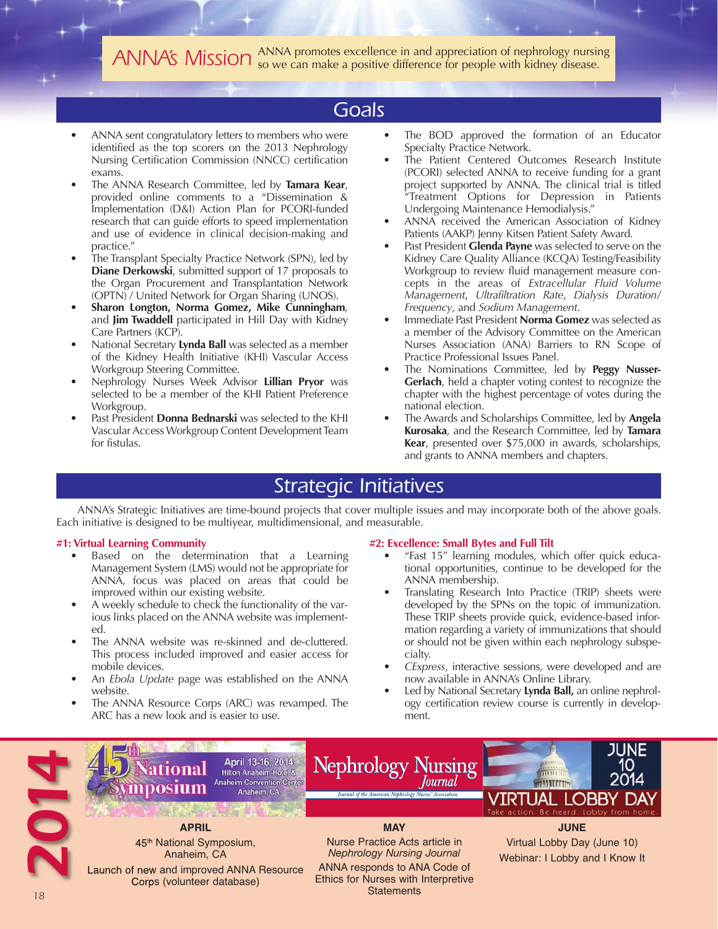*ANNA's Mission* ANNA promotes excellence in and appreciation of nephrology nursing so we can make a positive difference for people with kidney disease.

## *Goals*

- ANNA sent congratulatory letters to members who were identified as the top scorers on the 2013 Nephrology Nursing Certification Commission (NNCC) certification exams.
- The ANNA Research Committee, led by **Tamara Kear**, provided online comments to a "Dissemination & Implementation (D&I) Action Plan for PCORI-funded research that can guide efforts to speed implementation and use of evidence in clinical decision-making and practice."
- The Transplant Specialty Practice Network (SPN), led by **Diane Derkowski**, submitted support of 17 proposals to the Organ Procurement and Transplantation Network (OPTN) / United Network for Organ Sharing (UNOS).
- **Sharon Longton, Norma Gomez, Mike Cunningham**, and **Jim Twaddell** participated in Hill Day with Kidney Care Partners (KCP).
- National Secretary **Lynda Ball** was selected as a member of the Kidney Health Initiative (KHI) Vascular Access Workgroup Steering Committee.
- Nephrology Nurses Week Advisor **Lillian Pryor** was selected to be a member of the KHI Patient Preference Workgroup.
- Past President **Donna Bednarski** was selected to the KHI Vascular Access Workgroup Content Development Team for fistulas.
- The BOD approved the formation of an Educator Specialty Practice Network.
- The Patient Centered Outcomes Research Institute (PCORI) selected ANNA to receive funding for a grant project supported by ANNA. The clinical trial is titled "Treatment Options for Depression in Patients Undergoing Maintenance Hemodialysis."
- ANNA received the American Association of Kidney Patients (AAKP) Jenny Kitsen Patient Safety Award.
- Past President **Glenda Payne** was selected to serve on the Kidney Care Quality Alliance (KCQA) Testing/Feasibility Workgroup to review fluid management measure concepts in the areas of *Extracellular Fluid Volume Management*, *Ultrafiltration Rate*, *Dialysis Duration/ Frequency*, and *Sodium Management*.
- Immediate Past President **Norma Gomez** was selected as a member of the Advisory Committee on the American Nurses Association (ANA) Barriers to RN Scope of Practice Professional Issues Panel.
- The Nominations Committee, led by **Peggy Nusser-Gerlach**, held a chapter voting contest to recognize the chapter with the highest percentage of votes during the national election.
- The Awards and Scholarships Committee, led by **Angela Kurosaka**, and the Research Committee, led by **Tamara Kear**, presented over \$75,000 in awards, scholarships, and grants to ANNA members and chapters.

## *Strategic Initiatives*

ANNA's Strategic Initiatives are time-bound projects that cover multiple issues and may incorporate both of the above goals. Each initiative is designed to be multiyear, multidimensional, and measurable.

#### **#1: Virtual Learning Community**

- Based on the determination that a Learning Management System (LMS) would not be appropriate for ANNA, focus was placed on areas that could be improved within our existing website.
- A weekly schedule to check the functionality of the various links placed on the ANNA website was implemented.
- The ANNA website was re-skinned and de-cluttered. This process included improved and easier access for mobile devices.
- An *Ebola Update* page was established on the ANNA website.
- The ANNA Resource Corps (ARC) was revamped. The ARC has a new look and is easier to use.

#### **#2: Excellence: Small Bytes and Full Tilt**

- "Fast 15" learning modules, which offer quick educational opportunities, continue to be developed for the ANNA membership.
- Translating Research Into Practice (TRIP) sheets were developed by the SPNs on the topic of immunization. These TRIP sheets provide quick, evidence-based information regarding a variety of immunizations that should or should not be given within each nephrology subspecialty.
- *CExpress*, interactive sessions, were developed and are now available in ANNA's Online Library.
- Led by National Secretary **Lynda Ball,** an online nephrology certification review course is currently in development.

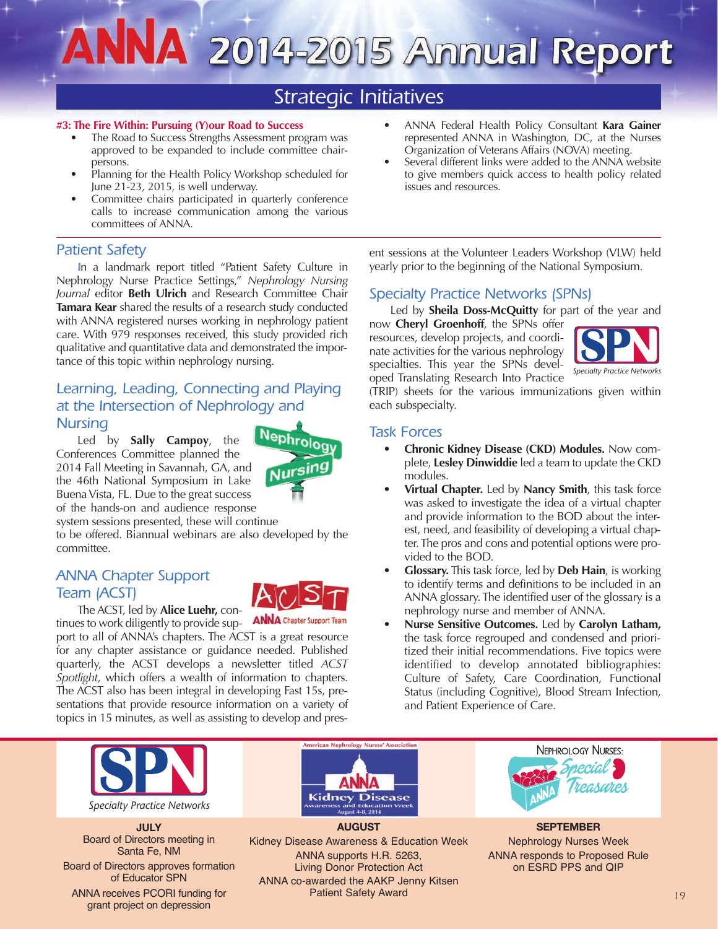# ANNA 2014-2015 Annual Report

## *Strategic Initiatives*

#### **#3: The Fire Within: Pursuing (Y)our Road to Success**

- The Road to Success Strengths Assessment program was approved to be expanded to include committee chairpersons.
- Planning for the Health Policy Workshop scheduled for June 21-23, 2015, is well underway.
- Committee chairs participated in quarterly conference calls to increase communication among the various committees of ANNA.

### *Patient Safety*

*I*n a landmark report titled "Patient Safety Culture in Nephrology Nurse Practice Settings," *Nephrology Nursing Journal* editor **Beth Ulrich** and Research Committee Chair **Tamara Kear** shared the results of a research study conducted with ANNA registered nurses working in nephrology patient care. With 979 responses received, this study provided rich qualitative and quantitative data and demonstrated the importance of this topic within nephrology nursing.

## *Learning, Leading, Connecting and Playing at the Intersection of Nephrology and Nursing*

Led by **Sally Campoy**, the Conferences Committee planned the 2014 Fall Meeting in Savannah, GA, and the 46th National Symposium in Lake Buena Vista, FL. Due to the great success of the hands-on and audience response



system sessions presented, these will continue

to be offered. Biannual webinars are also developed by the committee.

## *ANNA Chapter Support Team (ACST)*



port to all of ANNA's chapters. The ACST is a great resource for any chapter assistance or guidance needed. Published quarterly, the ACST develops a newsletter titled *ACST Spotlight*, which offers a wealth of information to chapters. The ACST also has been integral in developing Fast 15s, presentations that provide resource information on a variety of topics in 15 minutes, as well as assisting to develop and pres-

- ANNA Federal Health Policy Consultant **Kara Gainer** represented ANNA in Washington, DC, at the Nurses Organization of Veterans Affairs (NOVA) meeting.
- Several different links were added to the ANNA website to give members quick access to health policy related issues and resources.

ent sessions at the Volunteer Leaders Workshop (VLW) held yearly prior to the beginning of the National Symposium.

## *Specialty Practice Networks (SPNs)*

Led by **Sheila Doss-McQuitty** for part of the year and

now **Cheryl Groenhoff**, the SPNs offer resources, develop projects, and coordinate activities for the various nephrology specialties. This year the SPNs developed Translating Research Into Practice



(TRIP) sheets for the various immunizations given within each subspecialty.

### *Task Forces*

- **Chronic Kidney Disease (CKD) Modules.** Now complete, **Lesley Dinwiddie** led a team to update the CKD modules.
- **Virtual Chapter.** Led by **Nancy Smith**, this task force was asked to investigate the idea of a virtual chapter and provide information to the BOD about the interest, need, and feasibility of developing a virtual chapter. The pros and cons and potential options were provided to the BOD.
- **Glossary.** This task force, led by **Deb Hain**, is working to identify terms and definitions to be included in an ANNA glossary. The identified user of the glossary is a nephrology nurse and member of ANNA.
- **Nurse Sensitive Outcomes.** Led by **Carolyn Latham,** the task force regrouped and condensed and prioritized their initial recommendations. Five topics were identified to develop annotated bibliographies: Culture of Safety, Care Coordination, Functional Status (including Cognitive), Blood Stream Infection, and Patient Experience of Care.



*Specialty Practice Networks*

**JULY** Board of Directors meeting in Santa Fe, NM

Board of Directors approves formation of Educator SPN

ANNA receives PCORI funding for grant project on depression



**AUGUST** Kidney Disease Awareness & Education Week ANNA supports H.R. 5263, Living Donor Protection Act ANNA co-awarded the AAKP Jenny Kitsen Patient Safety Award *19*



**SEPTEMBER** Nephrology Nurses Week ANNA responds to Proposed Rule on ESRD PPS and QIP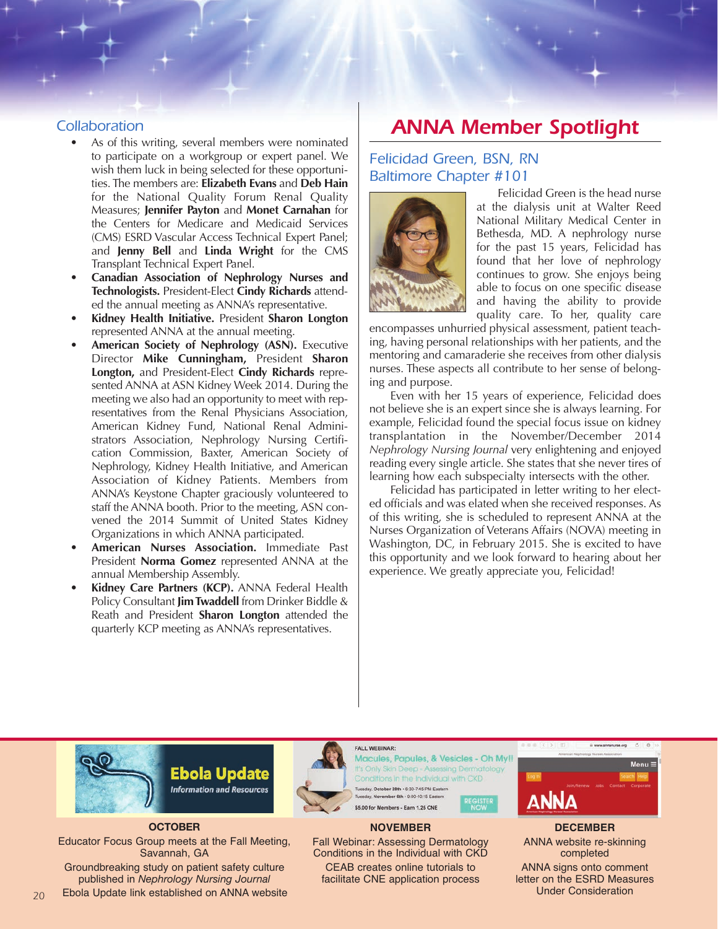### *Collaboration*

- As of this writing, several members were nominated to participate on a workgroup or expert panel. We wish them luck in being selected for these opportunities. The members are: **Elizabeth Evans** and **Deb Hain** for the National Quality Forum Renal Quality Measures; **Jennifer Payton** and **Monet Carnahan** for the Centers for Medicare and Medicaid Services (CMS) ESRD Vascular Access Technical Expert Panel; and **Jenny Bell** and **Linda Wright** for the CMS Transplant Technical Expert Panel.
- **Canadian Association of Nephrology Nurses and Technologists.** President-Elect **Cindy Richards** attended the annual meeting as ANNA's representative.
- **Kidney Health Initiative.** President **Sharon Longton** represented ANNA at the annual meeting.
- **American Society of Nephrology (ASN).** Executive Director **Mike Cunningham,** President **Sharon Longton,** and President-Elect **Cindy Richards** represented ANNA at ASN Kidney Week 2014. During the meeting we also had an opportunity to meet with representatives from the Renal Physicians Association, American Kidney Fund, National Renal Administrators Association, Nephrology Nursing Certification Commission, Baxter, American Society of Nephrology, Kidney Health Initiative, and American Association of Kidney Patients. Members from ANNA's Keystone Chapter graciously volunteered to staff the ANNA booth. Prior to the meeting, ASN convened the 2014 Summit of United States Kidney Organizations in which ANNA participated.
- **American Nurses Association.** Immediate Past President **Norma Gomez** represented ANNA at the annual Membership Assembly.
- **Kidney Care Partners (KCP).** ANNA Federal Health Policy Consultant **Jim Twaddell** from Drinker Biddle & Reath and President **Sharon Longton** attended the quarterly KCP meeting as ANNA's representatives.

## *ANNA Member Spotlight*

## *Felicidad Green, BSN, RN Baltimore Chapter #101*



Felicidad Green is the head nurse at the dialysis unit at Walter Reed National Military Medical Center in Bethesda, MD. A nephrology nurse for the past 15 years, Felicidad has found that her love of nephrology continues to grow. She enjoys being able to focus on one specific disease and having the ability to provide quality care. To her, quality care

encompasses unhurried physical assessment, patient teaching, having personal relationships with her patients, and the mentoring and camaraderie she receives from other dialysis nurses. These aspects all contribute to her sense of belonging and purpose.

Even with her 15 years of experience, Felicidad does not believe she is an expert since she is always learning. For example, Felicidad found the special focus issue on kidney transplantation in the November/December 2014 *Nephrology Nursing Journal* very enlightening and enjoyed reading every single article. She states that she never tires of learning how each subspecialty intersects with the other.

Felicidad has participated in letter writing to her elected officials and was elated when she received responses. As of this writing, she is scheduled to represent ANNA at the Nurses Organization of Veterans Affairs (NOVA) meeting in Washington, DC, in February 2015. She is excited to have this opportunity and we look forward to hearing about her experience. We greatly appreciate you, Felicidad!







Groundbreaking study on patient safety culture published in *Nephrology Nursing Journal*



*20*



FALL WEBINAR:

Macules, Papules, & Vesicles - Oh My!! It's Only Skin Deep - Assessing Dermatology Conditions in the Individual with CKD Liesday, October 28th . 6:30-7:45 PM Eastern November 6th · 9:00-10:15 Easte \$5.00 for Members - Earn 1.25 CNE

#### **NOVEMBER**

Fall Webinar: Assessing Dermatology Conditions in the Individual with CKD CEAB creates online tutorials to facilitate CNE application process



**DECEMBER** ANNA website re-skinning completed ANNA signs onto comment letter on the ESRD Measures Under Consideration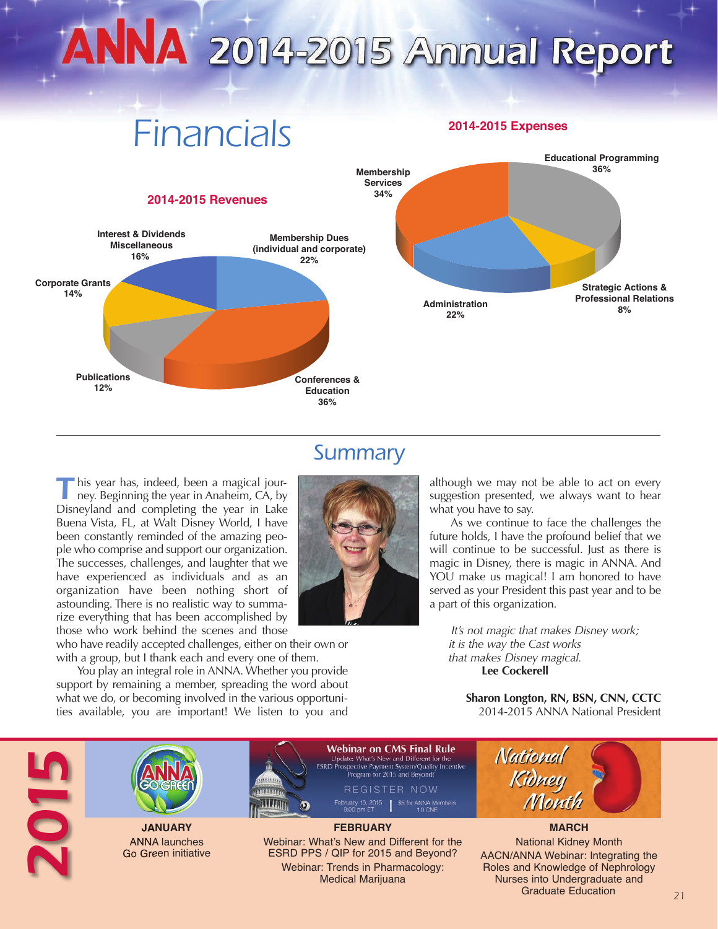## ANNA 2014-2015 Annual Report

## *Financials*





## *Summary*

**T** his year has, indeed, been a magical journey. Beginning the year in Anaheim, CA, by Disneyland and completing the year in Lake Buena Vista, FL, at Walt Disney World, I have been constantly reminded of the amazing people who comprise and support our organization. The successes, challenges, and laughter that we have experienced as individuals and as an organization have been nothing short of astounding. There is no realistic way to summarize everything that has been accomplished by those who work behind the scenes and those

who have readily accepted challenges, either on their own or with a group, but I thank each and every one of them.

You play an integral role in ANNA. Whether you provide support by remaining a member, spreading the word about what we do, or becoming involved in the various opportunities available, you are important! We listen to you and

although we may not be able to act on every suggestion presented, we always want to hear what you have to say.

As we continue to face the challenges the future holds, I have the profound belief that we will continue to be successful. Just as there is magic in Disney, there is magic in ANNA. And YOU make us magical! I am honored to have served as your President this past year and to be a part of this organization.

*It's not magic that makes Disney work; it is the way the Cast works that makes Disney magical.* **Lee Cockerell**

**Sharon Longton, RN, BSN, CNN, CCTC** 2014-2015 ANNA National President

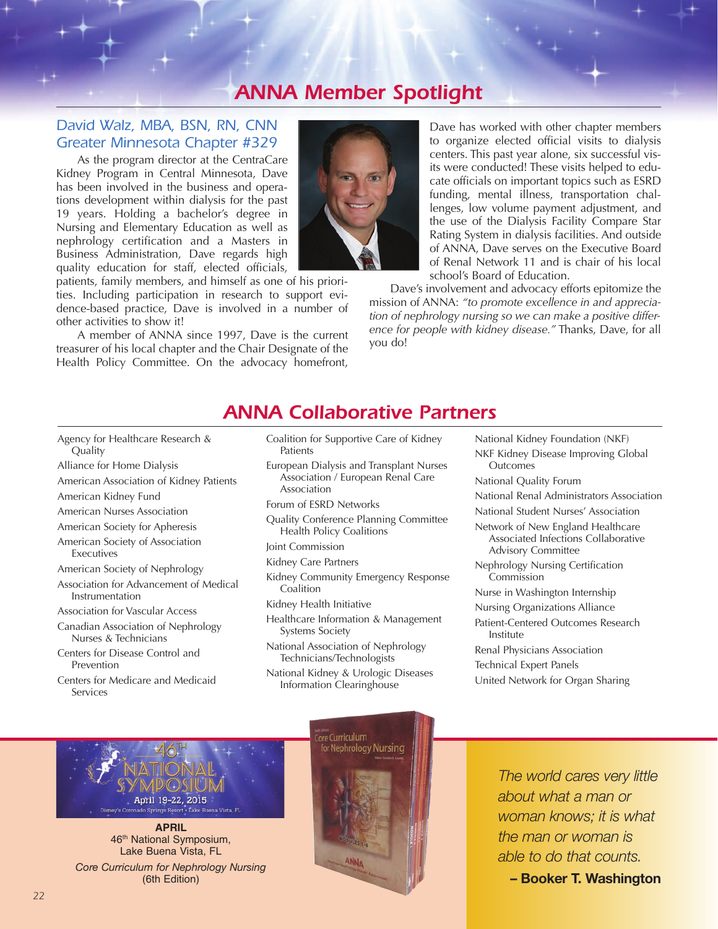## *ANNA Member Spotlight*

## *David Walz, MBA, BSN, RN, CNN Greater Minnesota Chapter #329*

As the program director at the CentraCare Kidney Program in Central Minnesota, Dave has been involved in the business and operations development within dialysis for the past 19 years. Holding a bachelor's degree in Nursing and Elementary Education as well as nephrology certification and a Masters in Business Administration, Dave regards high quality education for staff, elected officials,

patients, family members, and himself as one of his priorities. Including participation in research to support evidence-based practice, Dave is involved in a number of other activities to show it!

A member of ANNA since 1997, Dave is the current treasurer of his local chapter and the Chair Designate of the Health Policy Committee. On the advocacy homefront,



Dave has worked with other chapter members to organize elected official visits to dialysis centers. This past year alone, six successful visits were conducted! These visits helped to educate officials on important topics such as ESRD funding, mental illness, transportation challenges, low volume payment adjustment, and the use of the Dialysis Facility Compare Star Rating System in dialysis facilities. And outside of ANNA, Dave serves on the Executive Board of Renal Network 11 and is chair of his local school's Board of Education.

Dave's involvement and advocacy efforts epitomize the mission of ANNA: *"to promote excellence in and appreciation of nephrology nursing so we can make a positive difference for people with kidney disease."* Thanks, Dave, for all you do!

## *ANNA Collaborative Partners*

- Agency for Healthcare Research & Quality
- Alliance for Home Dialysis
- American Association of Kidney Patients
- American Kidney Fund
- American Nurses Association
- American Society for Apheresis
- American Society of Association
- Executives
- American Society of Nephrology
- Association for Advancement of Medical Instrumentation
- Association for Vascular Access
- Canadian Association of Nephrology Nurses & Technicians
- Centers for Disease Control and Prevention
- Centers for Medicare and Medicaid Services
- Coalition for Supportive Care of Kidney Patients
- European Dialysis and Transplant Nurses Association / European Renal Care Association
- Forum of ESRD Networks
- Quality Conference Planning Committee Health Policy Coalitions
- Joint Commission
- Kidney Care Partners
- Kidney Community Emergency Response Coalition
- Kidney Health Initiative
- Healthcare Information & Management Systems Society
- National Association of Nephrology Technicians/Technologists
- National Kidney & Urologic Diseases Information Clearinghouse
- National Kidney Foundation (NKF) NKF Kidney Disease Improving Global **Outcomes**
- National Quality Forum
- National Renal Administrators Association
- National Student Nurses' Association
- Network of New England Healthcare Associated Infections Collaborative Advisory Committee
- Nephrology Nursing Certification Commission
- Nurse in Washington Internship
- Nursing Organizations Alliance
- Patient-Centered Outcomes Research Institute
- Renal Physicians Association
- Technical Expert Panels
- United Network for Organ Sharing



**APRIL**  46th National Symposium, Lake Buena Vista, FL *Core Curriculum for Nephrology Nursing*  (6th Edition)



*The world cares very little about what a man or woman knows; it is what the man or woman is able to do that counts.*

**– Booker T. Washington**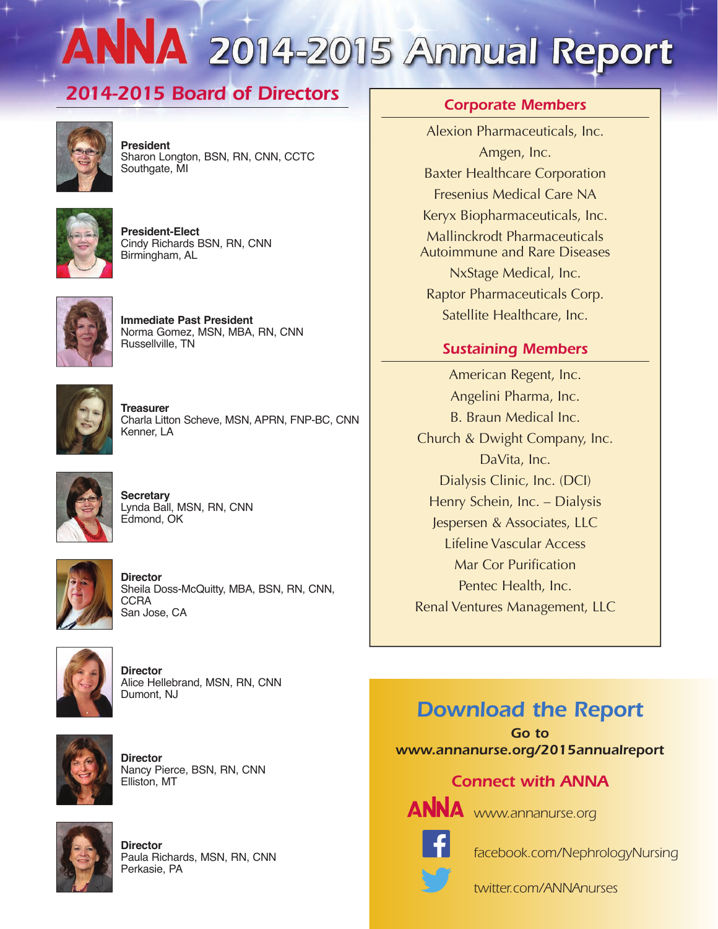# ANNA 2014-2015 Annual Report

## *2014-2015 Board of Directors Corporate Members*



**President** Sharon Longton, BSN, RN, CNN, CCTC Southgate, MI



**President-Elect** Cindy Richards BSN, RN, CNN Birmingham, AL



**Immediate Past President** Norma Gomez, MSN, MBA, RN, CNN Russellville, TN



**Treasurer** Charla Litton Scheve, MSN, APRN, FNP-BC, CNN Kenner, LA



**Secretary** Lynda Ball, MSN, RN, CNN Edmond, OK



**Director** Sheila Doss-McQuitty, MBA, BSN, RN, CNN, **CCRA** San Jose, CA



**Director** Alice Hellebrand, MSN, RN, CNN Dumont, NJ



**Director** Nancy Pierce, BSN, RN, CNN Elliston, MT



**Director** Paula Richards, MSN, RN, CNN Perkasie, PA

Alexion Pharmaceuticals, Inc. Amgen, Inc. Baxter Healthcare Corporation Fresenius Medical Care NA Keryx Biopharmaceuticals, Inc. Mallinckrodt Pharmaceuticals Autoimmune and Rare Diseases NxStage Medical, Inc. Raptor Pharmaceuticals Corp.

## *Sustaining Members*

Satellite Healthcare, Inc.

American Regent, Inc. Angelini Pharma, Inc. B. Braun Medical Inc. Church & Dwight Company, Inc. DaVita, Inc. Dialysis Clinic, Inc. (DCI) Henry Schein, Inc. – Dialysis Jespersen & Associates, LLC Lifeline Vascular Access Mar Cor Purification Pentec Health, Inc. Renal Ventures Management, LLC

## *Download the Report*

*Go to www.annanurse.org/2015annualreport*

## *Connect with ANNA*



ANNA www.annanurse.org



*facebook.com/NephrologyNursing*

*twitter.com/ANNAnurses*